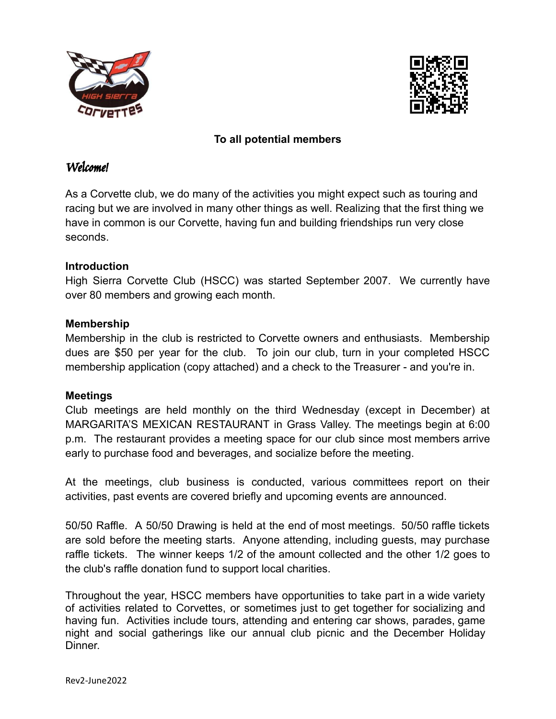



## **To all potential members**

### Welcome!

As a Corvette club, we do many of the activities you might expect such as touring and racing but we are involved in many other things as well. Realizing that the first thing we have in common is our Corvette, having fun and building friendships run very close seconds.

# **Introduction**

High Sierra Corvette Club (HSCC) was started September 2007. We currently have over 80 members and growing each month.

### **Membership**

Membership in the club is restricted to Corvette owners and enthusiasts. Membership dues are \$50 per year for the club. To join our club, turn in your completed HSCC membership application (copy attached) and a check to the Treasurer - and you're in.

#### **Meetings**

Club meetings are held monthly on the third Wednesday (except in December) at MARGARITA'S MEXICAN RESTAURANT in Grass Valley. The meetings begin at 6:00 p.m. The restaurant provides a meeting space for our club since most members arrive early to purchase food and beverages, and socialize before the meeting.

At the meetings, club business is conducted, various committees report on their activities, past events are covered briefly and upcoming events are announced.

50/50 Raffle. A 50/50 Drawing is held at the end of most meetings. 50/50 raffle tickets are sold before the meeting starts. Anyone attending, including guests, may purchase raffle tickets. The winner keeps 1/2 of the amount collected and the other 1/2 goes to the club's raffle donation fund to support local charities.

Throughout the year, HSCC members have opportunities to take part in a wide variety of activities related to Corvettes, or sometimes just to get together for socializing and having fun. Activities include tours, attending and entering car shows, parades, game night and social gatherings like our annual club picnic and the December Holiday Dinner.